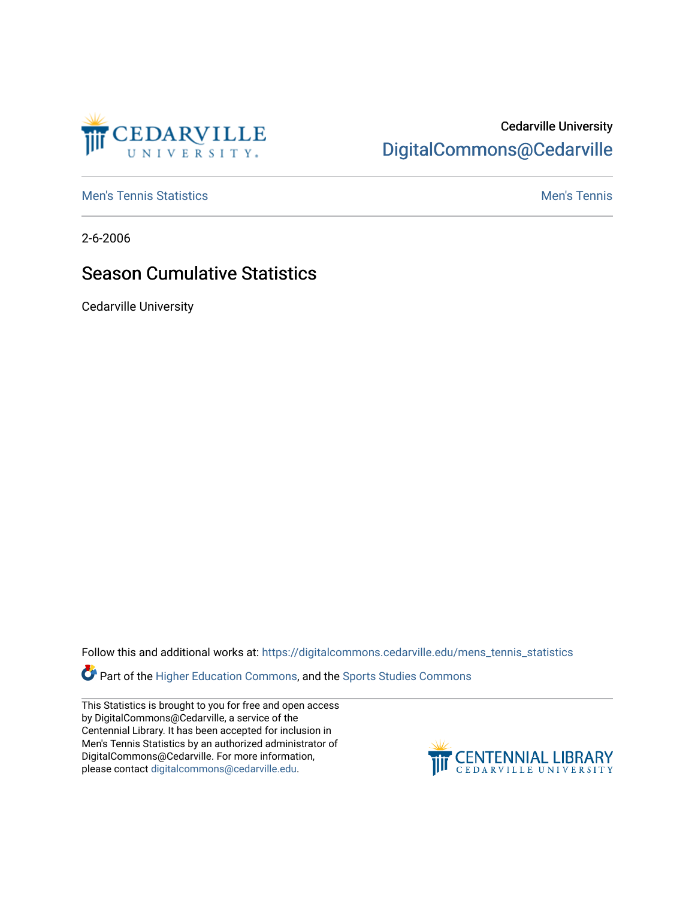

## Cedarville University [DigitalCommons@Cedarville](https://digitalcommons.cedarville.edu/)

**[Men's Tennis Statistics](https://digitalcommons.cedarville.edu/mens_tennis_statistics) Mental According to the Control of Control According Mental Men's Tennis** 

2-6-2006

## Season Cumulative Statistics

Cedarville University

Follow this and additional works at: [https://digitalcommons.cedarville.edu/mens\\_tennis\\_statistics](https://digitalcommons.cedarville.edu/mens_tennis_statistics?utm_source=digitalcommons.cedarville.edu%2Fmens_tennis_statistics%2F692&utm_medium=PDF&utm_campaign=PDFCoverPages)

**Part of the [Higher Education Commons,](http://network.bepress.com/hgg/discipline/1245?utm_source=digitalcommons.cedarville.edu%2Fmens_tennis_statistics%2F692&utm_medium=PDF&utm_campaign=PDFCoverPages) and the Sports Studies Commons** 

This Statistics is brought to you for free and open access by DigitalCommons@Cedarville, a service of the Centennial Library. It has been accepted for inclusion in Men's Tennis Statistics by an authorized administrator of DigitalCommons@Cedarville. For more information, please contact [digitalcommons@cedarville.edu](mailto:digitalcommons@cedarville.edu).